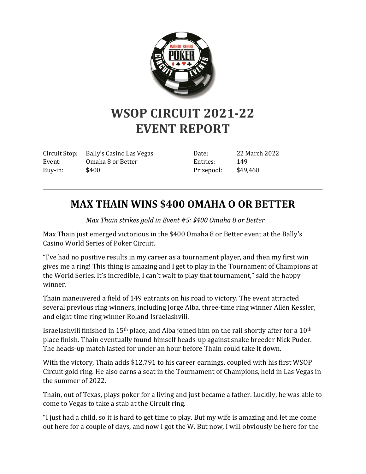

## **WSOP CIRCUIT 2021-22 EVENT REPORT**

Circuit Stop: Bally's Casino Las Vegas Event: Omaha 8 or Better Buy-in: \$400

Date: 22 March 2022 Entries: 149 Prizepool: \$49,468

## **MAX THAIN WINS \$400 OMAHA O OR BETTER**

*Max Thain strikes gold in Event #5: \$400 Omaha 8 or Better*

Max Thain just emerged victorious in the \$400 Omaha 8 or Better event at the Bally's Casino World Series of Poker Circuit.

"I've had no positive results in my career as a tournament player, and then my first win gives me a ring! This thing is amazing and I get to play in the Tournament of Champions at the World Series. It's incredible, I can't wait to play that tournament," said the happy winner.

Thain maneuvered a field of 149 entrants on his road to victory. The event attracted several previous ring winners, including Jorge Alba, three-time ring winner Allen Kessler, and eight-time ring winner Roland Israelashvili.

Israelashvili finished in 15<sup>th</sup> place, and Alba joined him on the rail shortly after for a 10<sup>th</sup> place finish. Thain eventually found himself heads-up against snake breeder Nick Puder. The heads-up match lasted for under an hour before Thain could take it down.

With the victory, Thain adds \$12,791 to his career earnings, coupled with his first WSOP Circuit gold ring. He also earns a seat in the Tournament of Champions, held in Las Vegas in the summer of 2022.

Thain, out of Texas, plays poker for a living and just became a father. Luckily, he was able to come to Vegas to take a stab at the Circuit ring.

"I just had a child, so it is hard to get time to play. But my wife is amazing and let me come out here for a couple of days, and now I got the W. But now, I will obviously be here for the